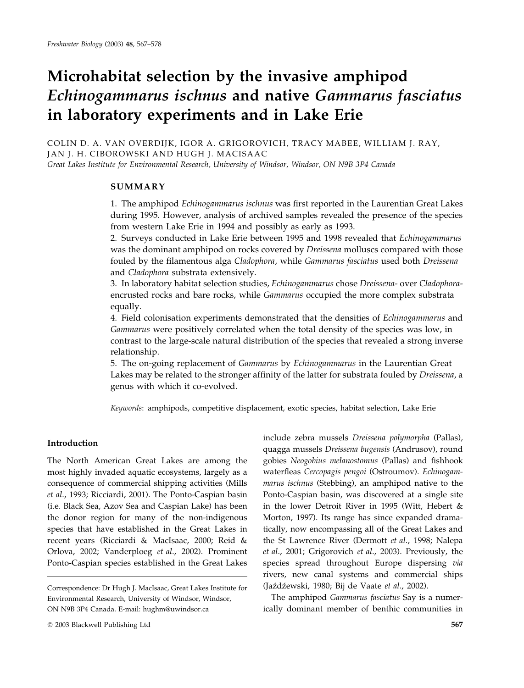# Microhabitat selection by the invasive amphipod Echinogammarus ischnus and native Gammarus fasciatus in laboratory experiments and in Lake Erie

COLIN D. A. VAN OVERDIJK, IGOR A. GRIGOROVICH, TRACY MABEE, WILLIAM J. RAY, JAN J. H. CIBOROWSKI AND HUGH J. MACISAAC Great Lakes Institute for Environmental Research, University of Windsor, Windsor, ON N9B 3P4 Canada

SUMMARY

1. The amphipod Echinogammarus ischnus was first reported in the Laurentian Great Lakes during 1995. However, analysis of archived samples revealed the presence of the species from western Lake Erie in 1994 and possibly as early as 1993.

2. Surveys conducted in Lake Erie between 1995 and 1998 revealed that Echinogammarus was the dominant amphipod on rocks covered by *Dreissena* molluscs compared with those fouled by the filamentous alga Cladophora, while Gammarus fasciatus used both Dreissena and Cladophora substrata extensively.

3. In laboratory habitat selection studies, Echinogammarus chose Dreissena- over Cladophoraencrusted rocks and bare rocks, while *Gammarus* occupied the more complex substrata equally.

4. Field colonisation experiments demonstrated that the densities of Echinogammarus and Gammarus were positively correlated when the total density of the species was low, in contrast to the large-scale natural distribution of the species that revealed a strong inverse relationship.

5. The on-going replacement of Gammarus by Echinogammarus in the Laurentian Great Lakes may be related to the stronger affinity of the latter for substrata fouled by *Dreissena*, a genus with which it co-evolved.

Keywords: amphipods, competitive displacement, exotic species, habitat selection, Lake Erie

# Introduction

The North American Great Lakes are among the most highly invaded aquatic ecosystems, largely as a consequence of commercial shipping activities (Mills et al., 1993; Ricciardi, 2001). The Ponto-Caspian basin (i.e. Black Sea, Azov Sea and Caspian Lake) has been the donor region for many of the non-indigenous species that have established in the Great Lakes in recent years (Ricciardi & MacIsaac, 2000; Reid & Orlova, 2002; Vanderploeg et al., 2002). Prominent Ponto-Caspian species established in the Great Lakes

include zebra mussels Dreissena polymorpha (Pallas), quagga mussels Dreissena bugensis (Andrusov), round gobies Neogobius melanostomus (Pallas) and fishhook waterfleas Cercopagis pengoi (Ostroumov). Echinogammarus ischnus (Stebbing), an amphipod native to the Ponto-Caspian basin, was discovered at a single site in the lower Detroit River in 1995 (Witt, Hebert & Morton, 1997). Its range has since expanded dramatically, now encompassing all of the Great Lakes and the St Lawrence River (Dermott et al., 1998; Nalepa et al., 2001; Grigorovich et al., 2003). Previously, the species spread throughout Europe dispersing via rivers, new canal systems and commercial ships (Jaźdźewski, 1980; Bij de Vaate et al., 2002).

The amphipod Gammarus fasciatus Say is a numerically dominant member of benthic communities in

Correspondence: Dr Hugh J. MacIsaac, Great Lakes Institute for Environmental Research, University of Windsor, Windsor, ON N9B 3P4 Canada. E-mail: hughm@uwindsor.ca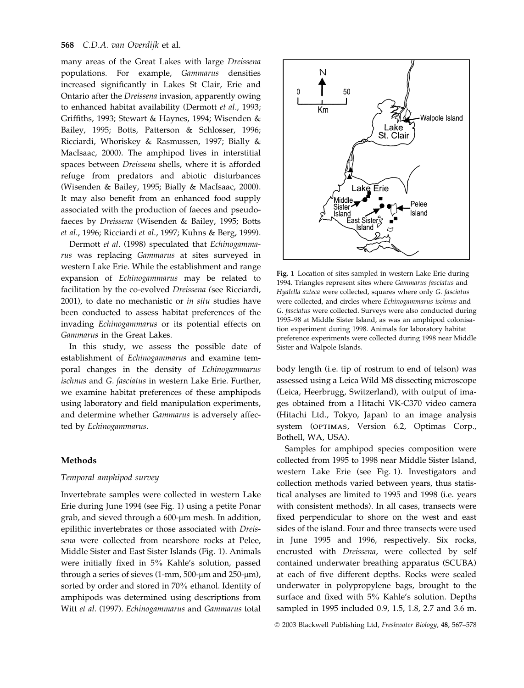many areas of the Great Lakes with large Dreissena populations. For example, Gammarus densities increased significantly in Lakes St Clair, Erie and Ontario after the Dreissena invasion, apparently owing to enhanced habitat availability (Dermott et al., 1993; Griffiths, 1993; Stewart & Haynes, 1994; Wisenden & Bailey, 1995; Botts, Patterson & Schlosser, 1996; Ricciardi, Whoriskey & Rasmussen, 1997; Bially & MacIsaac, 2000). The amphipod lives in interstitial spaces between Dreissena shells, where it is afforded refuge from predators and abiotic disturbances (Wisenden & Bailey, 1995; Bially & MacIsaac, 2000). It may also benefit from an enhanced food supply associated with the production of faeces and pseudofaeces by Dreissena (Wisenden & Bailey, 1995; Botts et al., 1996; Ricciardi et al., 1997; Kuhns & Berg, 1999).

Dermott et al. (1998) speculated that Echinogammarus was replacing Gammarus at sites surveyed in western Lake Erie. While the establishment and range expansion of Echinogammarus may be related to facilitation by the co-evolved Dreissena (see Ricciardi, 2001), to date no mechanistic or in situ studies have been conducted to assess habitat preferences of the invading Echinogammarus or its potential effects on Gammarus in the Great Lakes.

In this study, we assess the possible date of establishment of Echinogammarus and examine temporal changes in the density of Echinogammarus ischnus and G. fasciatus in western Lake Erie. Further, we examine habitat preferences of these amphipods using laboratory and field manipulation experiments, and determine whether Gammarus is adversely affected by Echinogammarus.

#### Methods

# Temporal amphipod survey

Invertebrate samples were collected in western Lake Erie during June 1994 (see Fig. 1) using a petite Ponar grab, and sieved through a 600-um mesh. In addition, epilithic invertebrates or those associated with Dreissena were collected from nearshore rocks at Pelee, Middle Sister and East Sister Islands (Fig. 1). Animals were initially fixed in 5% Kahle's solution, passed through a series of sieves  $(1-mm, 500 \text{-} \mu m \text{ and } 250 \text{-} \mu \text{m})$ , sorted by order and stored in 70% ethanol. Identity of amphipods was determined using descriptions from Witt et al. (1997). Echinogammarus and Gammarus total



Fig. 1 Location of sites sampled in western Lake Erie during 1994. Triangles represent sites where Gammarus fasciatus and Hyalella azteca were collected, squares where only G. fasciatus were collected, and circles where Echinogammarus ischnus and G. fasciatus were collected. Surveys were also conducted during 1995–98 at Middle Sister Island, as was an amphipod colonisation experiment during 1998. Animals for laboratory habitat preference experiments were collected during 1998 near Middle Sister and Walpole Islands.

body length (i.e. tip of rostrum to end of telson) was assessed using a Leica Wild M8 dissecting microscope (Leica, Heerbrugg, Switzerland), with output of images obtained from a Hitachi VK-C370 video camera (Hitachi Ltd., Tokyo, Japan) to an image analysis system (OPTIMAS, Version 6.2, Optimas Corp., Bothell, WA, USA).

Samples for amphipod species composition were collected from 1995 to 1998 near Middle Sister Island, western Lake Erie (see Fig. 1). Investigators and collection methods varied between years, thus statistical analyses are limited to 1995 and 1998 (i.e. years with consistent methods). In all cases, transects were fixed perpendicular to shore on the west and east sides of the island. Four and three transects were used in June 1995 and 1996, respectively. Six rocks, encrusted with Dreissena, were collected by self contained underwater breathing apparatus (SCUBA) at each of five different depths. Rocks were sealed underwater in polypropylene bags, brought to the surface and fixed with 5% Kahle's solution. Depths sampled in 1995 included 0.9, 1.5, 1.8, 2.7 and 3.6 m.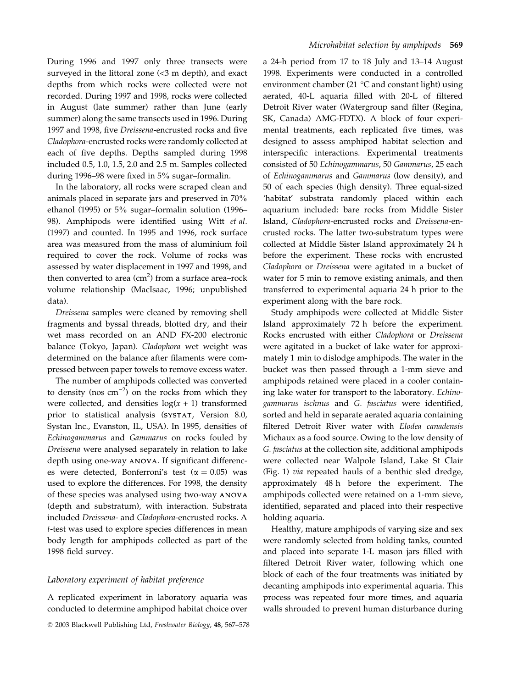During 1996 and 1997 only three transects were surveyed in the littoral zone (<3 m depth), and exact depths from which rocks were collected were not recorded. During 1997 and 1998, rocks were collected in August (late summer) rather than June (early summer) along the same transects used in 1996. During 1997 and 1998, five Dreissena-encrusted rocks and five Cladophora-encrusted rocks were randomly collected at each of five depths. Depths sampled during 1998 included 0.5, 1.0, 1.5, 2.0 and 2.5 m. Samples collected during 1996–98 were fixed in 5% sugar–formalin.

In the laboratory, all rocks were scraped clean and animals placed in separate jars and preserved in 70% ethanol (1995) or 5% sugar–formalin solution (1996– 98). Amphipods were identified using Witt et al. (1997) and counted. In 1995 and 1996, rock surface area was measured from the mass of aluminium foil required to cover the rock. Volume of rocks was assessed by water displacement in 1997 and 1998, and then converted to area  $\rm (cm^2)$  from a surface area–rock volume relationship (MacIsaac, 1996; unpublished data).

Dreissena samples were cleaned by removing shell fragments and byssal threads, blotted dry, and their wet mass recorded on an AND FX-200 electronic balance (Tokyo, Japan). Cladophora wet weight was determined on the balance after filaments were compressed between paper towels to remove excess water.

The number of amphipods collected was converted to density (nos  $cm^{-2}$ ) on the rocks from which they were collected, and densities  $log(x + 1)$  transformed prior to statistical analysis (SYSTAT, Version 8.0, Systan Inc., Evanston, IL, USA). In 1995, densities of Echinogammarus and Gammarus on rocks fouled by Dreissena were analysed separately in relation to lake depth using one-way ANOVA. If significant differences were detected, Bonferroni's test ( $\alpha = 0.05$ ) was used to explore the differences. For 1998, the density of these species was analysed using two-way ANOVA (depth and substratum), with interaction. Substrata included Dreissena- and Cladophora-encrusted rocks. A t-test was used to explore species differences in mean body length for amphipods collected as part of the 1998 field survey.

#### Laboratory experiment of habitat preference

A replicated experiment in laboratory aquaria was conducted to determine amphipod habitat choice over a 24-h period from 17 to 18 July and 13–14 August 1998. Experiments were conducted in a controlled environment chamber (21 °C and constant light) using aerated, 40-L aquaria filled with 20-L of filtered Detroit River water (Watergroup sand filter (Regina, SK, Canada) AMG-FDTX). A block of four experimental treatments, each replicated five times, was designed to assess amphipod habitat selection and interspecific interactions. Experimental treatments consisted of 50 Echinogammarus, 50 Gammarus, 25 each of Echinogammarus and Gammarus (low density), and 50 of each species (high density). Three equal-sized 'habitat' substrata randomly placed within each aquarium included: bare rocks from Middle Sister Island, Cladophora-encrusted rocks and Dreissena-encrusted rocks. The latter two-substratum types were collected at Middle Sister Island approximately 24 h before the experiment. These rocks with encrusted Cladophora or Dreissena were agitated in a bucket of water for 5 min to remove existing animals, and then transferred to experimental aquaria 24 h prior to the experiment along with the bare rock.

Study amphipods were collected at Middle Sister Island approximately 72 h before the experiment. Rocks encrusted with either Cladophora or Dreissena were agitated in a bucket of lake water for approximately 1 min to dislodge amphipods. The water in the bucket was then passed through a 1-mm sieve and amphipods retained were placed in a cooler containing lake water for transport to the laboratory. Echinogammarus ischnus and G. fasciatus were identified, sorted and held in separate aerated aquaria containing filtered Detroit River water with Elodea canadensis Michaux as a food source. Owing to the low density of G. fasciatus at the collection site, additional amphipods were collected near Walpole Island, Lake St Clair (Fig. 1) via repeated hauls of a benthic sled dredge, approximately 48 h before the experiment. The amphipods collected were retained on a 1-mm sieve, identified, separated and placed into their respective holding aquaria.

Healthy, mature amphipods of varying size and sex were randomly selected from holding tanks, counted and placed into separate 1-L mason jars filled with filtered Detroit River water, following which one block of each of the four treatments was initiated by decanting amphipods into experimental aquaria. This process was repeated four more times, and aquaria walls shrouded to prevent human disturbance during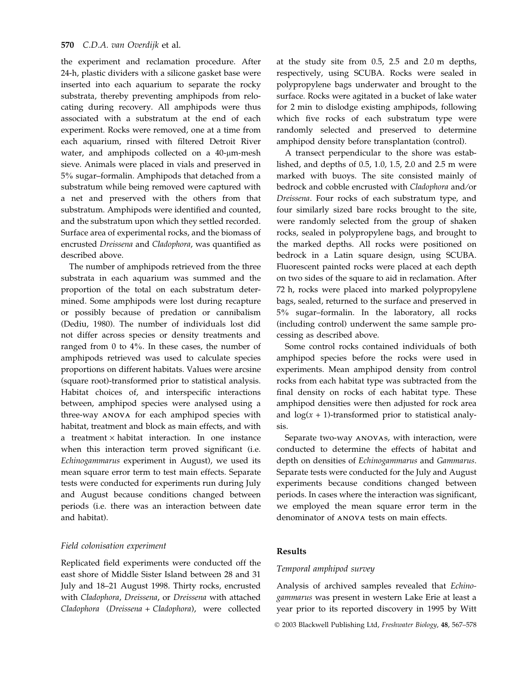the experiment and reclamation procedure. After 24-h, plastic dividers with a silicone gasket base were inserted into each aquarium to separate the rocky substrata, thereby preventing amphipods from relocating during recovery. All amphipods were thus associated with a substratum at the end of each experiment. Rocks were removed, one at a time from each aquarium, rinsed with filtered Detroit River water, and amphipods collected on a  $40$ - $\mu$ m-mesh sieve. Animals were placed in vials and preserved in 5% sugar–formalin. Amphipods that detached from a substratum while being removed were captured with a net and preserved with the others from that substratum. Amphipods were identified and counted, and the substratum upon which they settled recorded. Surface area of experimental rocks, and the biomass of encrusted Dreissena and Cladophora, was quantified as described above.

The number of amphipods retrieved from the three substrata in each aquarium was summed and the proportion of the total on each substratum determined. Some amphipods were lost during recapture or possibly because of predation or cannibalism (Dediu, 1980). The number of individuals lost did not differ across species or density treatments and ranged from 0 to 4%. In these cases, the number of amphipods retrieved was used to calculate species proportions on different habitats. Values were arcsine (square root)-transformed prior to statistical analysis. Habitat choices of, and interspecific interactions between, amphipod species were analysed using a three-way ANOVA for each amphipod species with habitat, treatment and block as main effects, and with a treatment  $\times$  habitat interaction. In one instance when this interaction term proved significant (i.e. Echinogammarus experiment in August), we used its mean square error term to test main effects. Separate tests were conducted for experiments run during July and August because conditions changed between periods (i.e. there was an interaction between date and habitat).

# Field colonisation experiment

Replicated field experiments were conducted off the east shore of Middle Sister Island between 28 and 31 July and 18–21 August 1998. Thirty rocks, encrusted with Cladophora, Dreissena, or Dreissena with attached Cladophora (Dreissena + Cladophora), were collected at the study site from 0.5, 2.5 and 2.0 m depths, respectively, using SCUBA. Rocks were sealed in polypropylene bags underwater and brought to the surface. Rocks were agitated in a bucket of lake water for 2 min to dislodge existing amphipods, following which five rocks of each substratum type were randomly selected and preserved to determine amphipod density before transplantation (control).

A transect perpendicular to the shore was established, and depths of 0.5, 1.0, 1.5, 2.0 and 2.5 m were marked with buoys. The site consisted mainly of bedrock and cobble encrusted with Cladophora and/or Dreissena. Four rocks of each substratum type, and four similarly sized bare rocks brought to the site, were randomly selected from the group of shaken rocks, sealed in polypropylene bags, and brought to the marked depths. All rocks were positioned on bedrock in a Latin square design, using SCUBA. Fluorescent painted rocks were placed at each depth on two sides of the square to aid in reclamation. After 72 h, rocks were placed into marked polypropylene bags, sealed, returned to the surface and preserved in 5% sugar–formalin. In the laboratory, all rocks (including control) underwent the same sample processing as described above.

Some control rocks contained individuals of both amphipod species before the rocks were used in experiments. Mean amphipod density from control rocks from each habitat type was subtracted from the final density on rocks of each habitat type. These amphipod densities were then adjusted for rock area and  $log(x + 1)$ -transformed prior to statistical analysis.

Separate two-way ANOVAs, with interaction, were conducted to determine the effects of habitat and depth on densities of Echinogammarus and Gammarus. Separate tests were conducted for the July and August experiments because conditions changed between periods. In cases where the interaction was significant, we employed the mean square error term in the denominator of ANOVA tests on main effects.

#### Results

#### Temporal amphipod survey

Analysis of archived samples revealed that Echinogammarus was present in western Lake Erie at least a year prior to its reported discovery in 1995 by Witt

2003 Blackwell Publishing Ltd, Freshwater Biology, 48, 567–578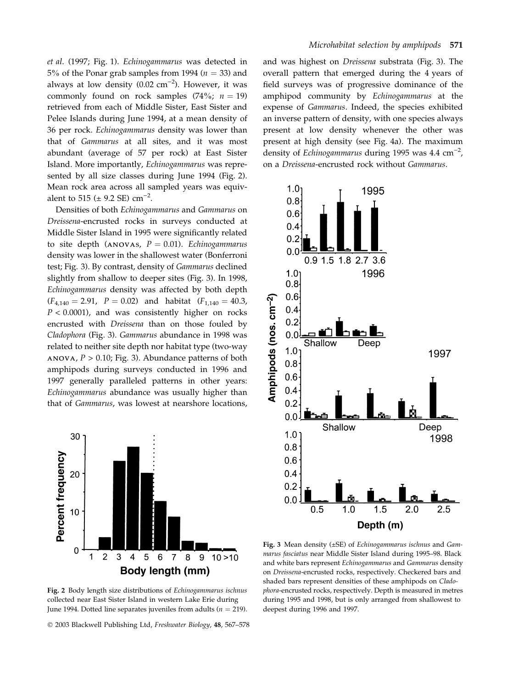et al. (1997; Fig. 1). Echinogammarus was detected in 5% of the Ponar grab samples from 1994 ( $n = 33$ ) and always at low density (0.02  $\text{cm}^{-2}$ ). However, it was commonly found on rock samples (74%;  $n = 19$ ) retrieved from each of Middle Sister, East Sister and Pelee Islands during June 1994, at a mean density of 36 per rock. Echinogammarus density was lower than that of Gammarus at all sites, and it was most abundant (average of 57 per rock) at East Sister Island. More importantly, Echinogammarus was represented by all size classes during June 1994 (Fig. 2). Mean rock area across all sampled years was equivalent to 515 ( $\pm$  9.2 SE) cm<sup>-2</sup>.

Densities of both Echinogammarus and Gammarus on Dreissena-encrusted rocks in surveys conducted at Middle Sister Island in 1995 were significantly related to site depth (ANOVAS,  $P = 0.01$ ). Echinogammarus density was lower in the shallowest water (Bonferroni test; Fig. 3). By contrast, density of Gammarus declined slightly from shallow to deeper sites (Fig. 3). In 1998, Echinogammarus density was affected by both depth  $(F_{4,140} = 2.91, P = 0.02)$  and habitat  $(F_{1,140} = 40.3, P = 0.02)$  $P < 0.0001$ ), and was consistently higher on rocks encrusted with Dreissena than on those fouled by Cladophora (Fig. 3). Gammarus abundance in 1998 was related to neither site depth nor habitat type (two-way ANOVA,  $P > 0.10$ ; Fig. 3). Abundance patterns of both amphipods during surveys conducted in 1996 and 1997 generally paralleled patterns in other years: Echinogammarus abundance was usually higher than that of Gammarus, was lowest at nearshore locations,



overall pattern that emerged during the 4 years of field surveys was of progressive dominance of the amphipod community by Echinogammarus at the expense of Gammarus. Indeed, the species exhibited an inverse pattern of density, with one species always present at low density whenever the other was present at high density (see Fig. 4a). The maximum density of Echinogammarus during 1995 was  $4.4 \text{ cm}^{-2}$ , on a Dreissena-encrusted rock without Gammarus.

and was highest on Dreissena substrata (Fig. 3). The

Microhabitat selection by amphipods 571



Fig. 3 Mean density (±SE) of Echinogammarus ischnus and Gammarus fasciatus near Middle Sister Island during 1995–98. Black and white bars represent Echinogammarus and Gammarus density on Dreissena-encrusted rocks, respectively. Checkered bars and shaded bars represent densities of these amphipods on Cladophora-encrusted rocks, respectively. Depth is measured in metres during 1995 and 1998, but is only arranged from shallowest to deepest during 1996 and 1997.

Fig. 2 Body length size distributions of Echinogammarus ischnus collected near East Sister Island in western Lake Erie during June 1994. Dotted line separates juveniles from adults ( $n = 219$ ).

2003 Blackwell Publishing Ltd, Freshwater Biology, 48, 567–578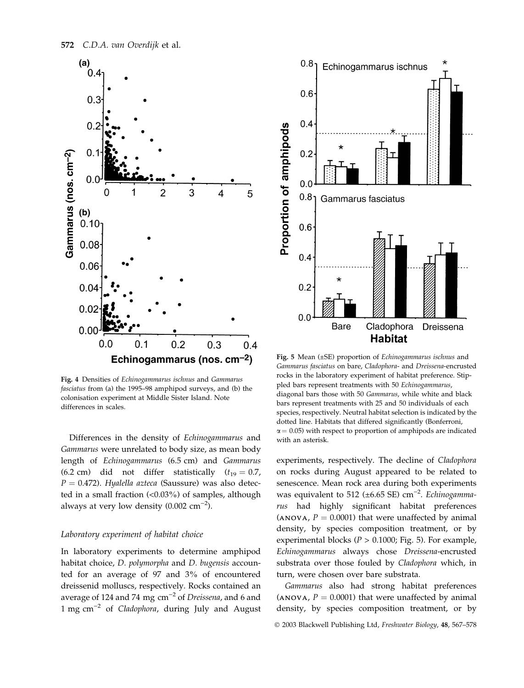

Fig. 4 Densities of Echinogammarus ischnus and Gammarus fasciatus from (a) the 1995–98 amphipod surveys, and (b) the colonisation experiment at Middle Sister Island. Note differences in scales.

Differences in the density of Echinogammarus and Gammarus were unrelated to body size, as mean body length of Echinogammarus (6.5 cm) and Gammarus (6.2 cm) did not differ statistically  $(t_{19} = 0.7,$  $P = 0.472$ ). Hyalella azteca (Saussure) was also detected in a small fraction  $\langle$ <0.03%) of samples, although always at very low density  $(0.002 \text{ cm}^{-2})$ .

#### Laboratory experiment of habitat choice

In laboratory experiments to determine amphipod habitat choice, D. polymorpha and D. bugensis accounted for an average of 97 and 3% of encountered dreissenid molluscs, respectively. Rocks contained an average of 124 and 74 mg  $cm^{-2}$  of Dreissena, and 6 and 1 mg  $cm^{-2}$  of *Cladophora*, during July and August



Fig. 5 Mean (±SE) proportion of Echinogammarus ischnus and Gammarus fasciatus on bare, Cladophora- and Dreissena-encrusted rocks in the laboratory experiment of habitat preference. Stippled bars represent treatments with 50 Echinogammarus, diagonal bars those with 50 Gammarus, while white and black bars represent treatments with 25 and 50 individuals of each species, respectively. Neutral habitat selection is indicated by the dotted line. Habitats that differed significantly (Bonferroni,  $\alpha$  = 0.05) with respect to proportion of amphipods are indicated with an asterisk.

experiments, respectively. The decline of Cladophora on rocks during August appeared to be related to senescence. Mean rock area during both experiments was equivalent to 512 ( $\pm$ 6.65 SE) cm<sup>-2</sup>. Echinogammarus had highly significant habitat preferences (ANOVA,  $P = 0.0001$ ) that were unaffected by animal density, by species composition treatment, or by experimental blocks ( $P > 0.1000$ ; Fig. 5). For example, Echinogammarus always chose Dreissena-encrusted substrata over those fouled by Cladophora which, in turn, were chosen over bare substrata.

Gammarus also had strong habitat preferences (ANOVA,  $P = 0.0001$ ) that were unaffected by animal density, by species composition treatment, or by

2003 Blackwell Publishing Ltd, Freshwater Biology, 48, 567–578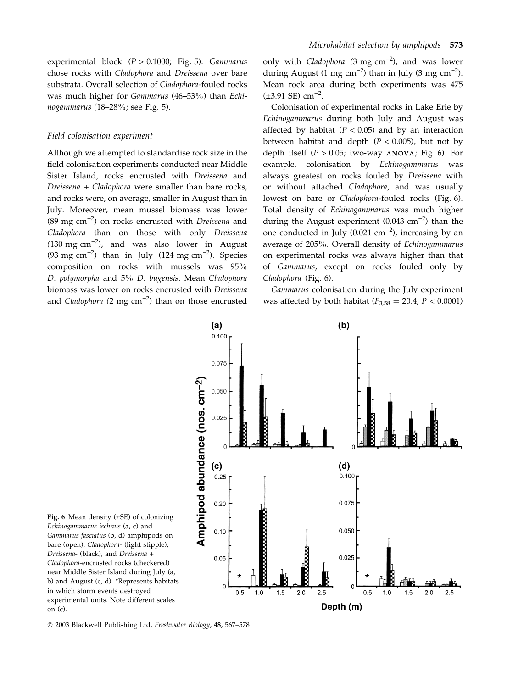experimental block (P > 0.1000; Fig. 5). Gammarus chose rocks with Cladophora and Dreissena over bare substrata. Overall selection of Cladophora-fouled rocks was much higher for Gammarus (46–53%) than Echinogammarus (18–28%; see Fig. 5).

#### Field colonisation experiment

Although we attempted to standardise rock size in the field colonisation experiments conducted near Middle Sister Island, rocks encrusted with Dreissena and Dreissena + Cladophora were smaller than bare rocks, and rocks were, on average, smaller in August than in July. Moreover, mean mussel biomass was lower (89 mg cm $^{-2}$ ) on rocks encrusted with Dreissena and Cladophora than on those with only Dreissena  $(130 \text{ mg cm}^{-2})$ , and was also lower in August (93 mg cm<sup>-2</sup>) than in July (124 mg cm<sup>-2</sup>). Species composition on rocks with mussels was 95% D. polymorpha and 5% D. bugensis. Mean Cladophora biomass was lower on rocks encrusted with Dreissena and Cladophora (2 mg cm<sup>-2</sup>) than on those encrusted

only with *Cladophora* (3 mg  $cm^{-2}$ ), and was lower during August (1 mg cm<sup>-2</sup>) than in July (3 mg cm<sup>-2</sup>). Mean rock area during both experiments was 475  $(\pm 3.91 \text{ SE}) \text{ cm}^{-2}$ .

Colonisation of experimental rocks in Lake Erie by Echinogammarus during both July and August was affected by habitat ( $P < 0.05$ ) and by an interaction between habitat and depth  $(P < 0.005)$ , but not by depth itself ( $P > 0.05$ ; two-way ANOVA; Fig. 6). For example, colonisation by Echinogammarus was always greatest on rocks fouled by Dreissena with or without attached Cladophora, and was usually lowest on bare or Cladophora-fouled rocks (Fig. 6). Total density of Echinogammarus was much higher during the August experiment  $(0.043 \text{ cm}^{-2})$  than the one conducted in July (0.021  $\text{cm}^{-2}$ ), increasing by an average of 205%. Overall density of Echinogammarus on experimental rocks was always higher than that of Gammarus, except on rocks fouled only by Cladophora (Fig. 6).

Gammarus colonisation during the July experiment was affected by both habitat ( $F_{3,58} = 20.4$ ,  $P < 0.0001$ )



Fig. 6 Mean density (±SE) of colonizing Echinogammarus ischnus (a, c) and Gammarus fasciatus (b, d) amphipods on bare (open), Cladophora- (light stipple), Dreissena- (black), and Dreissena + Cladophora-encrusted rocks (checkered) near Middle Sister Island during July (a, b) and August (c, d). \*Represents habitats in which storm events destroyed experimental units. Note different scales on (c).

2003 Blackwell Publishing Ltd, Freshwater Biology, 48, 567–578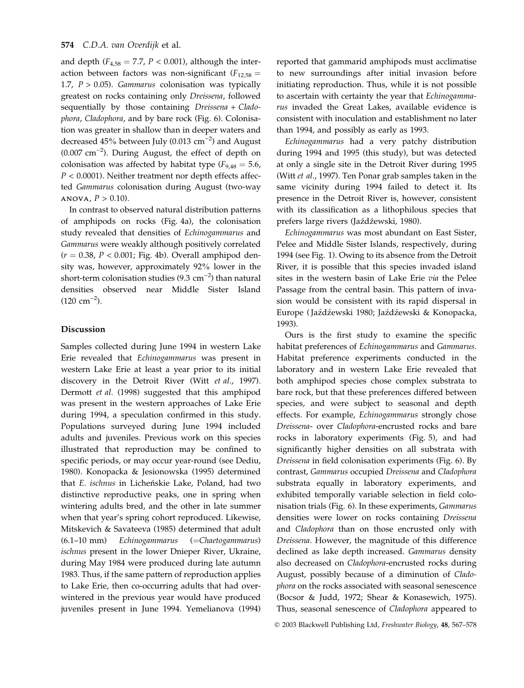and depth ( $F_{4,58} = 7.7$ ,  $P < 0.001$ ), although the interaction between factors was non-significant ( $F_{12,58}$  = 1.7,  $P > 0.05$ ). Gammarus colonisation was typically greatest on rocks containing only Dreissena, followed sequentially by those containing Dreissena + Cladophora, Cladophora, and by bare rock (Fig. 6). Colonisation was greater in shallow than in deeper waters and decreased  $45\%$  between July (0.013  $\text{cm}^{-2}$ ) and August  $(0.007 \text{ cm}^{-2})$ . During August, the effect of depth on colonisation was affected by habitat type ( $F_{9,48} = 5.6$ ,  $P < 0.0001$ ). Neither treatment nor depth effects affected Gammarus colonisation during August (two-way ANOVA,  $P > 0.10$ ).

In contrast to observed natural distribution patterns of amphipods on rocks (Fig. 4a), the colonisation study revealed that densities of Echinogammarus and Gammarus were weakly although positively correlated  $(r = 0.38, P < 0.001$ ; Fig. 4b). Overall amphipod density was, however, approximately 92% lower in the short-term colonisation studies (9.3  $\rm cm^{-2})$  than natural densities observed near Middle Sister Island  $(120 \text{ cm}^{-2}).$ 

#### Discussion

Samples collected during June 1994 in western Lake Erie revealed that Echinogammarus was present in western Lake Erie at least a year prior to its initial discovery in the Detroit River (Witt et al., 1997). Dermott et al. (1998) suggested that this amphipod was present in the western approaches of Lake Erie during 1994, a speculation confirmed in this study. Populations surveyed during June 1994 included adults and juveniles. Previous work on this species illustrated that reproduction may be confined to specific periods, or may occur year-round (see Dediu, 1980). Konopacka & Jesionowska (1995) determined that E. ischnus in Licheńskie Lake, Poland, had two distinctive reproductive peaks, one in spring when wintering adults bred, and the other in late summer when that year's spring cohort reproduced. Likewise, Mitskevich & Savateeva (1985) determined that adult (6.1–10 mm) Echinogammarus (=Chaetogammarus) ischnus present in the lower Dnieper River, Ukraine, during May 1984 were produced during late autumn 1983. Thus, if the same pattern of reproduction applies to Lake Erie, then co-occurring adults that had overwintered in the previous year would have produced juveniles present in June 1994. Yemelianova (1994)

reported that gammarid amphipods must acclimatise to new surroundings after initial invasion before initiating reproduction. Thus, while it is not possible to ascertain with certainty the year that Echinogammarus invaded the Great Lakes, available evidence is consistent with inoculation and establishment no later than 1994, and possibly as early as 1993.

Echinogammarus had a very patchy distribution during 1994 and 1995 (this study), but was detected at only a single site in the Detroit River during 1995 (Witt et al., 1997). Ten Ponar grab samples taken in the same vicinity during 1994 failed to detect it. Its presence in the Detroit River is, however, consistent with its classification as a lithophilous species that prefers large rivers (Jaźdźewski, 1980).

Echinogammarus was most abundant on East Sister, Pelee and Middle Sister Islands, respectively, during 1994 (see Fig. 1). Owing to its absence from the Detroit River, it is possible that this species invaded island sites in the western basin of Lake Erie via the Pelee Passage from the central basin. This pattern of invasion would be consistent with its rapid dispersal in Europe (Jaźdźewski 1980; Jaźdźewski & Konopacka, 1993).

Ours is the first study to examine the specific habitat preferences of Echinogammarus and Gammarus. Habitat preference experiments conducted in the laboratory and in western Lake Erie revealed that both amphipod species chose complex substrata to bare rock, but that these preferences differed between species, and were subject to seasonal and depth effects. For example, Echinogammarus strongly chose Dreissena- over Cladophora-encrusted rocks and bare rocks in laboratory experiments (Fig. 5), and had significantly higher densities on all substrata with Dreissena in field colonisation experiments (Fig. 6). By contrast, Gammarus occupied Dreissena and Cladophora substrata equally in laboratory experiments, and exhibited temporally variable selection in field colonisation trials (Fig. 6). In these experiments, Gammarus densities were lower on rocks containing Dreissena and Cladophora than on those encrusted only with Dreissena. However, the magnitude of this difference declined as lake depth increased. Gammarus density also decreased on Cladophora-encrusted rocks during August, possibly because of a diminution of Cladophora on the rocks associated with seasonal senescence (Bocsor & Judd, 1972; Shear & Konasewich, 1975). Thus, seasonal senescence of Cladophora appeared to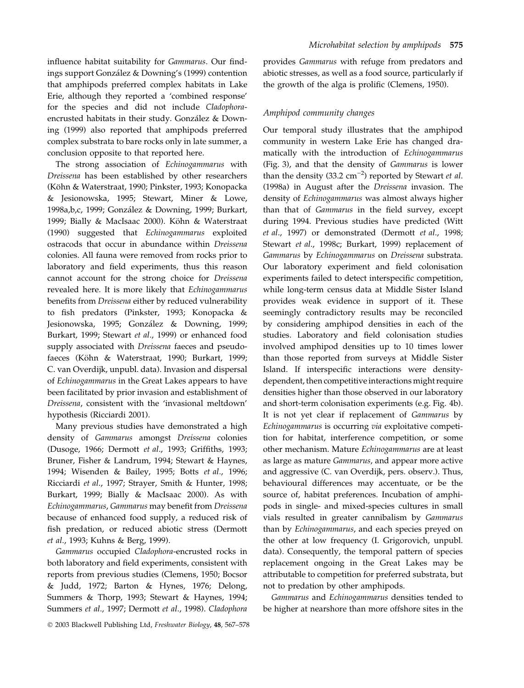influence habitat suitability for Gammarus. Our findings support González & Downing's (1999) contention that amphipods preferred complex habitats in Lake Erie, although they reported a 'combined response' for the species and did not include Cladophoraencrusted habitats in their study. González & Downing (1999) also reported that amphipods preferred complex substrata to bare rocks only in late summer, a conclusion opposite to that reported here.

The strong association of Echinogammarus with Dreissena has been established by other researchers (Köhn & Waterstraat, 1990; Pinkster, 1993; Konopacka & Jesionowska, 1995; Stewart, Miner & Lowe, 1998a,b,c, 1999; González & Downing, 1999; Burkart, 1999; Bially & MacIsaac 2000). Köhn & Waterstraat (1990) suggested that Echinogammarus exploited ostracods that occur in abundance within Dreissena colonies. All fauna were removed from rocks prior to laboratory and field experiments, thus this reason cannot account for the strong choice for Dreissena revealed here. It is more likely that Echinogammarus benefits from Dreissena either by reduced vulnerability to fish predators (Pinkster, 1993; Konopacka & Jesionowska, 1995; González & Downing, 1999; Burkart, 1999; Stewart et al., 1999) or enhanced food supply associated with Dreissena faeces and pseudofaeces (Köhn & Waterstraat, 1990; Burkart, 1999; C. van Overdijk, unpubl. data). Invasion and dispersal of Echinogammarus in the Great Lakes appears to have been facilitated by prior invasion and establishment of Dreissena, consistent with the 'invasional meltdown' hypothesis (Ricciardi 2001).

Many previous studies have demonstrated a high density of Gammarus amongst Dreissena colonies (Dusoge, 1966; Dermott et al., 1993; Griffiths, 1993; Bruner, Fisher & Landrum, 1994; Stewart & Haynes, 1994; Wisenden & Bailey, 1995; Botts et al., 1996; Ricciardi et al., 1997; Strayer, Smith & Hunter, 1998; Burkart, 1999; Bially & MacIsaac 2000). As with Echinogammarus, Gammarus may benefit from Dreissena because of enhanced food supply, a reduced risk of fish predation, or reduced abiotic stress (Dermott et al., 1993; Kuhns & Berg, 1999).

Gammarus occupied Cladophora-encrusted rocks in both laboratory and field experiments, consistent with reports from previous studies (Clemens, 1950; Bocsor & Judd, 1972; Barton & Hynes, 1976; Delong, Summers & Thorp, 1993; Stewart & Haynes, 1994; Summers et al., 1997; Dermott et al., 1998). Cladophora provides Gammarus with refuge from predators and abiotic stresses, as well as a food source, particularly if the growth of the alga is prolific (Clemens, 1950).

#### Amphipod community changes

Our temporal study illustrates that the amphipod community in western Lake Erie has changed dramatically with the introduction of Echinogammarus (Fig. 3), and that the density of Gammarus is lower than the density (33.2  $\text{cm}^{-2}$ ) reported by Stewart *et al*. (1998a) in August after the Dreissena invasion. The density of Echinogammarus was almost always higher than that of Gammarus in the field survey, except during 1994. Previous studies have predicted (Witt et al., 1997) or demonstrated (Dermott et al., 1998; Stewart et al., 1998c; Burkart, 1999) replacement of Gammarus by Echinogammarus on Dreissena substrata. Our laboratory experiment and field colonisation experiments failed to detect interspecific competition, while long-term census data at Middle Sister Island provides weak evidence in support of it. These seemingly contradictory results may be reconciled by considering amphipod densities in each of the studies. Laboratory and field colonisation studies involved amphipod densities up to 10 times lower than those reported from surveys at Middle Sister Island. If interspecific interactions were densitydependent, then competitive interactions might require densities higher than those observed in our laboratory and short-term colonisation experiments (e.g. Fig. 4b). It is not yet clear if replacement of Gammarus by Echinogammarus is occurring via exploitative competition for habitat, interference competition, or some other mechanism. Mature Echinogammarus are at least as large as mature Gammarus, and appear more active and aggressive (C. van Overdijk, pers. observ.). Thus, behavioural differences may accentuate, or be the source of, habitat preferences. Incubation of amphipods in single- and mixed-species cultures in small vials resulted in greater cannibalism by Gammarus than by Echinogammarus, and each species preyed on the other at low frequency (I. Grigorovich, unpubl. data). Consequently, the temporal pattern of species replacement ongoing in the Great Lakes may be attributable to competition for preferred substrata, but not to predation by other amphipods.

Gammarus and Echinogammarus densities tended to be higher at nearshore than more offshore sites in the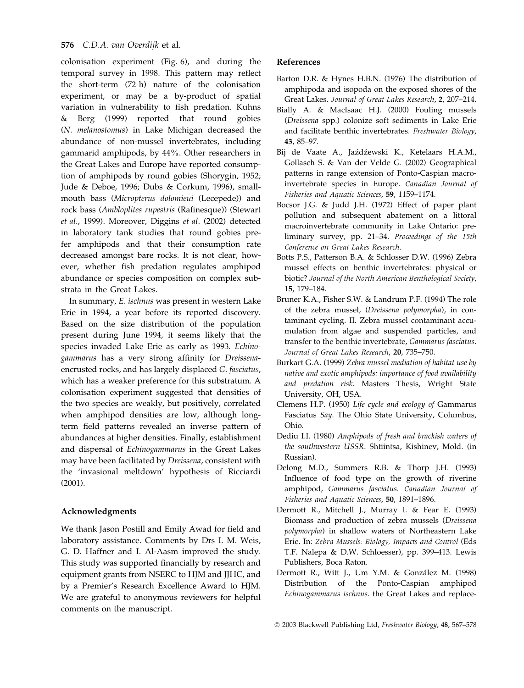colonisation experiment (Fig. 6), and during the temporal survey in 1998. This pattern may reflect the short-term (72 h) nature of the colonisation experiment, or may be a by-product of spatial variation in vulnerability to fish predation. Kuhns & Berg (1999) reported that round gobies (N. melanostomus) in Lake Michigan decreased the abundance of non-mussel invertebrates, including gammarid amphipods, by 44%. Other researchers in the Great Lakes and Europe have reported consumption of amphipods by round gobies (Shorygin, 1952; Jude & Deboe, 1996; Dubs & Corkum, 1996), smallmouth bass (Micropterus dolomieui (Lecepede)) and rock bass (Ambloplites rupestris (Rafinesque)) (Stewart et al., 1999). Moreover, Diggins et al. (2002) detected in laboratory tank studies that round gobies prefer amphipods and that their consumption rate decreased amongst bare rocks. It is not clear, however, whether fish predation regulates amphipod abundance or species composition on complex substrata in the Great Lakes.

In summary, E. ischnus was present in western Lake Erie in 1994, a year before its reported discovery. Based on the size distribution of the population present during June 1994, it seems likely that the species invaded Lake Erie as early as 1993. Echinogammarus has a very strong affinity for Dreissenaencrusted rocks, and has largely displaced G. fasciatus, which has a weaker preference for this substratum. A colonisation experiment suggested that densities of the two species are weakly, but positively, correlated when amphipod densities are low, although longterm field patterns revealed an inverse pattern of abundances at higher densities. Finally, establishment and dispersal of Echinogammarus in the Great Lakes may have been facilitated by Dreissena, consistent with the 'invasional meltdown' hypothesis of Ricciardi (2001).

# Acknowledgments

We thank Jason Postill and Emily Awad for field and laboratory assistance. Comments by Drs I. M. Weis, G. D. Haffner and I. Al-Aasm improved the study. This study was supported financially by research and equipment grants from NSERC to HJM and JJHC, and by a Premier's Research Excellence Award to HJM. We are grateful to anonymous reviewers for helpful comments on the manuscript.

# References

- Barton D.R. & Hynes H.B.N. (1976) The distribution of amphipoda and isopoda on the exposed shores of the Great Lakes. Journal of Great Lakes Research, 2, 207–214.
- Bially A. & MacIsaac H.J. (2000) Fouling mussels (Dreissena spp.) colonize soft sediments in Lake Erie and facilitate benthic invertebrates. Freshwater Biology, 43, 85–97.
- Bij de Vaate A., Jaźdźewski K., Ketelaars H.A.M., Gollasch S. & Van der Velde G. (2002) Geographical patterns in range extension of Ponto-Caspian macroinvertebrate species in Europe. Canadian Journal of Fisheries and Aquatic Sciences, 59, 1159–1174.
- Bocsor J.G. & Judd J.H. (1972) Effect of paper plant pollution and subsequent abatement on a littoral macroinvertebrate community in Lake Ontario: preliminary survey, pp. 21–34. Proceedings of the 15th Conference on Great Lakes Research.
- Botts P.S., Patterson B.A. & Schlosser D.W. (1996) Zebra mussel effects on benthic invertebrates: physical or biotic? Journal of the North American Benthological Society, 15, 179–184.
- Bruner K.A., Fisher S.W. & Landrum P.F. (1994) The role of the zebra mussel, (Dreissena polymorpha), in contaminant cycling. II. Zebra mussel contaminant accumulation from algae and suspended particles, and transfer to the benthic invertebrate, Gammarus fasciatus. Journal of Great Lakes Research, 20, 735–750.
- Burkart G.A. (1999) Zebra mussel mediation of habitat use by native and exotic amphipods: importance of food availability and predation risk. Masters Thesis, Wright State University, OH, USA.
- Clemens H.P. (1950) Life cycle and ecology of Gammarus Fasciatus Say. The Ohio State University, Columbus, Ohio.
- Dediu I.I. (1980) Amphipods of fresh and brackish waters of the southwestern USSR. Shtiintsa, Kishinev, Mold. (in Russian).
- Delong M.D., Summers R.B. & Thorp J.H. (1993) Influence of food type on the growth of riverine amphipod, Gammarus fasciatus. Canadian Journal of Fisheries and Aquatic Sciences, 50, 1891–1896.
- Dermott R., Mitchell J., Murray I. & Fear E. (1993) Biomass and production of zebra mussels (Dreissena polymorpha) in shallow waters of Northeastern Lake Erie. In: Zebra Mussels: Biology, Impacts and Control (Eds T.F. Nalepa & D.W. Schloesser), pp. 399–413. Lewis Publishers, Boca Raton.
- Dermott R., Witt J., Um Y.M. & González M. (1998) Distribution of the Ponto-Caspian amphipod Echinogammarus ischnus. the Great Lakes and replace-

2003 Blackwell Publishing Ltd, Freshwater Biology, 48, 567–578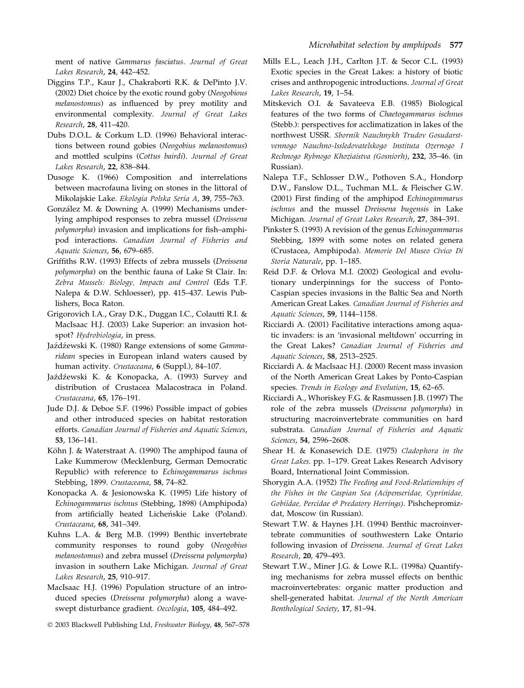ment of native Gammarus fasciatus. Journal of Great Lakes Research, 24, 442–452.

- Diggins T.P., Kaur J., Chakraborti R.K. & DePinto J.V. (2002) Diet choice by the exotic round goby (Neogobious melanostomus) as influenced by prey motility and environmental complexity. Journal of Great Lakes Research, 28, 411–420.
- Dubs D.O.L. & Corkum L.D. (1996) Behavioral interactions between round gobies (Neogobius melanostomus) and mottled sculpins (Cottus bairdi). Journal of Great Lakes Research, 22, 838–844.
- Dusoge K. (1966) Composition and interrelations between macrofauna living on stones in the littoral of Mikolajskie Lake. Ekologia Polska Seria A, 39, 755–763.
- González M. & Downing A. (1999) Mechanisms underlying amphipod responses to zebra mussel (Dreissena polymorpha) invasion and implications for fish–amphipod interactions. Canadian Journal of Fisheries and Aquatic Sciences, 56, 679–685.
- Griffiths R.W. (1993) Effects of zebra mussels (Dreissena polymorpha) on the benthic fauna of Lake St Clair. In: Zebra Mussels: Biology, Impacts and Control (Eds T.F. Nalepa & D.W. Schloesser), pp. 415–437. Lewis Publishers, Boca Raton.
- Grigorovich I.A., Gray D.K., Duggan I.C., Colautti R.I. & MacIsaac H.J. (2003) Lake Superior: an invasion hotspot? Hydrobiologia, in press.
- Jaźdźewski K. (1980) Range extensions of some Gammaridean species in European inland waters caused by human activity. Crustaceana, 6 (Suppl.), 84-107.
- Jaźdźewski K. & Konopacka, A. (1993) Survey and distribution of Crustacea Malacostraca in Poland. Crustaceana, 65, 176–191.
- Jude D.J. & Deboe S.F. (1996) Possible impact of gobies and other introduced species on habitat restoration efforts. Canadian Journal of Fisheries and Aquatic Sciences, 53, 136–141.
- Köhn J. & Waterstraat A. (1990) The amphipod fauna of Lake Kummerow (Mecklenburg, German Democratic Republic) with reference to Echinogammarus ischnus Stebbing, 1899. Crustaceana, 58, 74–82.
- Konopacka A. & Jesionowska K. (1995) Life history of Echinogammarus ischnus (Stebbing, 1898) (Amphipoda) from artificially heated Licheńskie Lake (Poland). Crustaceana, 68, 341–349.
- Kuhns L.A. & Berg M.B. (1999) Benthic invertebrate community responses to round goby (Neogobius melanostomus) and zebra mussel (Dreissena polymorpha) invasion in southern Lake Michigan. Journal of Great Lakes Research, 25, 910–917.
- MacIsaac H.J. (1996) Population structure of an introduced species (Dreissena polymorpha) along a waveswept disturbance gradient. Oecologia, 105, 484–492.
- 2003 Blackwell Publishing Ltd, Freshwater Biology, 48, 567–578
- Mills E.L., Leach J.H., Carlton J.T. & Secor C.L. (1993) Exotic species in the Great Lakes: a history of biotic crises and anthropogenic introductions. Journal of Great Lakes Research, 19, 1–54.
- Mitskevich O.I. & Savateeva E.B. (1985) Biological features of the two forms of Chaetogammarus ischnus (Stebb.): perspectives for acclimatization in lakes of the northwest USSR. Sbornik Nauchnykh Trudov Gosudarstvennogo Nauchno-Issledovatelskogo Instituta Ozernogo I Rechnogo Rybnogo Khoziaistva (Gosniorh), 232, 35–46. (in Russian).
- Nalepa T.F., Schlosser D.W., Pothoven S.A., Hondorp D.W., Fanslow D.L., Tuchman M.L. & Fleischer G.W. (2001) First finding of the amphipod Echinogammarus ischnus and the mussel Dreissena bugensis in Lake Michigan. Journal of Great Lakes Research, 27, 384–391.
- Pinkster S. (1993) A revision of the genus Echinogammarus Stebbing, 1899 with some notes on related genera (Crustacea, Amphipoda). Memorie Del Museo Civico Di Storia Naturale, pp. 1–185.
- Reid D.F. & Orlova M.I. (2002) Geological and evolutionary underpinnings for the success of Ponto-Caspian species invasions in the Baltic Sea and North American Great Lakes. Canadian Journal of Fisheries and Aquatic Sciences, 59, 1144–1158.
- Ricciardi A. (2001) Facilitative interactions among aquatic invaders: is an 'invasional meltdown' occurring in the Great Lakes? Canadian Journal of Fisheries and Aquatic Sciences, 58, 2513–2525.
- Ricciardi A. & MacIsaac H.J. (2000) Recent mass invasion of the North American Great Lakes by Ponto-Caspian species. Trends in Ecology and Evolution, 15, 62-65.
- Ricciardi A., Whoriskey F.G. & Rasmussen J.B. (1997) The role of the zebra mussels (Dreissena polymorpha) in structuring macroinvertebrate communities on hard substrata. Canadian Journal of Fisheries and Aquatic Sciences, 54, 2596–2608.
- Shear H. & Konasewich D.E. (1975) Cladophora in the Great Lakes. pp. 1–179. Great Lakes Research Advisory Board, International Joint Commission.
- Shorygin A.A. (1952) The Feeding and Food-Relationships of the Fishes in the Caspian Sea (Acipenseridae, Cyprinidae, Gobiidae, Percidae & Predatory Herrings). Pishchepromizdat, Moscow (in Russian).
- Stewart T.W. & Haynes J.H. (1994) Benthic macroinvertebrate communities of southwestern Lake Ontario following invasion of Dreissena. Journal of Great Lakes Research, 20, 479–493.
- Stewart T.W., Miner J.G. & Lowe R.L. (1998a) Quantifying mechanisms for zebra mussel effects on benthic macroinvertebrates: organic matter production and shell-generated habitat. Journal of the North American Benthological Society, 17, 81–94.